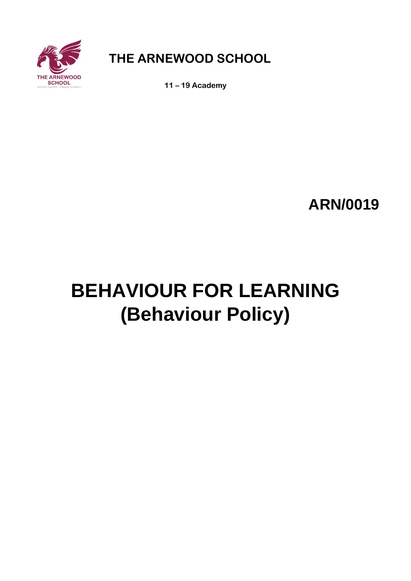

**THE ARNEWOOD SCHOOL**

**11 – 19 Academy**

**ARN/0019**

# **BEHAVIOUR FOR LEARNING (Behaviour Policy)**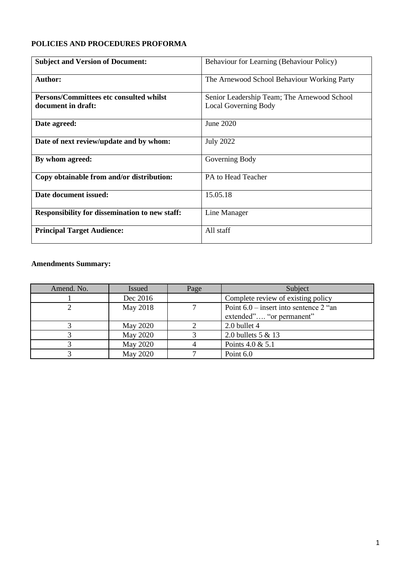# **POLICIES AND PROCEDURES PROFORMA**

| <b>Subject and Version of Document:</b>               | Behaviour for Learning (Behaviour Policy)   |
|-------------------------------------------------------|---------------------------------------------|
| <b>Author:</b>                                        | The Arnewood School Behaviour Working Party |
| Persons/Committees etc consulted whilst               | Senior Leadership Team; The Arnewood School |
| document in draft:                                    | <b>Local Governing Body</b>                 |
| Date agreed:                                          | June 2020                                   |
| Date of next review/update and by whom:               | <b>July 2022</b>                            |
| By whom agreed:                                       | Governing Body                              |
| Copy obtainable from and/or distribution:             | PA to Head Teacher                          |
| Date document issued:                                 | 15.05.18                                    |
| <b>Responsibility for dissemination to new staff:</b> | Line Manager                                |
| <b>Principal Target Audience:</b>                     | All staff                                   |

# **Amendments Summary:**

| Amend. No. | <b>Issued</b>   | Page | Subject                                                              |
|------------|-----------------|------|----------------------------------------------------------------------|
|            | Dec 2016        |      | Complete review of existing policy                                   |
|            | May 2018        |      | Point $6.0$ – insert into sentence 2 "an<br>extended" "or permanent" |
|            | <b>May 2020</b> |      | 2.0 bullet 4                                                         |
|            | May 2020        |      | 2.0 bullets 5 & 13                                                   |
|            | May 2020        |      | Points 4.0 & 5.1                                                     |
|            | May 2020        |      | Point 6.0                                                            |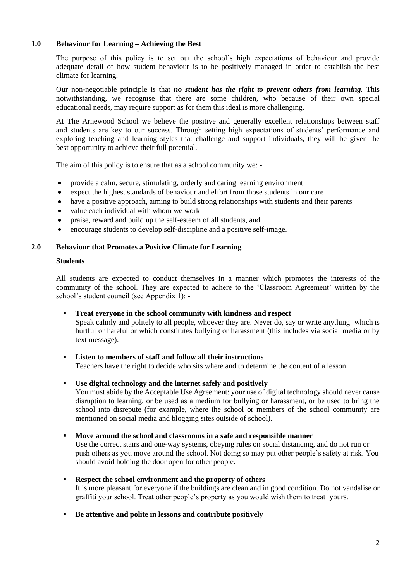# **1.0 Behaviour for Learning – Achieving the Best**

The purpose of this policy is to set out the school's high expectations of behaviour and provide adequate detail of how student behaviour is to be positively managed in order to establish the best climate for learning.

Our non-negotiable principle is that *no student has the right to prevent others from learning.* This notwithstanding, we recognise that there are some children, who because of their own special educational needs, may require support as for them this ideal is more challenging.

At The Arnewood School we believe the positive and generally excellent relationships between staff and students are key to our success. Through setting high expectations of students' performance and exploring teaching and learning styles that challenge and support individuals, they will be given the best opportunity to achieve their full potential.

The aim of this policy is to ensure that as a school community we: -

- provide a calm, secure, stimulating, orderly and caring learning environment
- expect the highest standards of behaviour and effort from those students in our care
- have a positive approach, aiming to build strong relationships with students and their parents
- value each individual with whom we work
- praise, reward and build up the self-esteem of all students, and
- encourage students to develop self-discipline and a positive self-image.

#### **2.0 Behaviour that Promotes a Positive Climate for Learning**

#### **Students**

All students are expected to conduct themselves in a manner which promotes the interests of the community of the school. They are expected to adhere to the 'Classroom Agreement' written by the school's student council (see Appendix 1): -

- **Treat everyone in the school community with kindness and respect**  Speak calmly and politely to all people, whoever they are. Never do, say or write anything which is hurtful or hateful or which constitutes bullying or harassment (this includes via social media or by text message).
- **Listen to members of staff and follow all their instructions**  Teachers have the right to decide who sits where and to determine the content of a lesson.
- **Use digital technology and the internet safely and positively**

You must abide by the Acceptable Use Agreement: your use of digital technology should never cause disruption to learning, or be used as a medium for bullying or harassment, or be used to bring the school into disrepute (for example, where the school or members of the school community are mentioned on social media and blogging sites outside of school).

#### ▪ **Move around the school and classrooms in a safe and responsible manner**

Use the correct stairs and one-way systems, obeying rules on social distancing, and do not run or push others as you move around the school. Not doing so may put other people's safety at risk. You should avoid holding the door open for other people.

- **Respect the school environment and the property of others**  It is more pleasant for everyone if the buildings are clean and in good condition. Do not vandalise or graffiti your school. Treat other people's property as you would wish them to treat yours.
- **Be attentive and polite in lessons and contribute positively**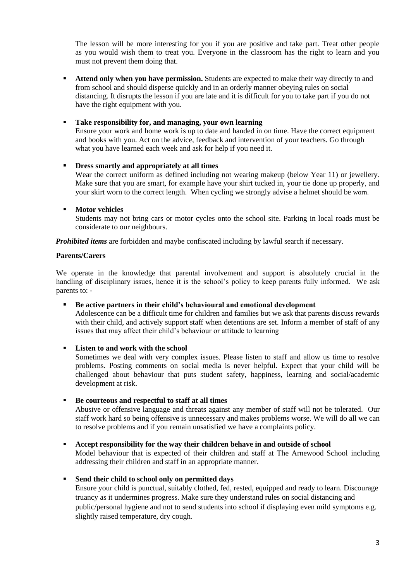The lesson will be more interesting for you if you are positive and take part. Treat other people as you would wish them to treat you. Everyone in the classroom has the right to learn and you must not prevent them doing that.

**EXECUTE:** Attend only when you have permission. Students are expected to make their way directly to and from school and should disperse quickly and in an orderly manner obeying rules on social distancing. It disrupts the lesson if you are late and it is difficult for you to take part if you do not have the right equipment with you.

# ▪ **Take responsibility for, and managing, your own learning**

Ensure your work and home work is up to date and handed in on time. Have the correct equipment and books with you. Act on the advice, feedback and intervention of your teachers. Go through what you have learned each week and ask for help if you need it.

# ▪ **Dress smartly and appropriately at all times**

Wear the correct uniform as defined including not wearing makeup (below Year 11) or jewellery. Make sure that you are smart, for example have your shirt tucked in, your tie done up properly, and your skirt worn to the correct length. When cycling we strongly advise a helmet should be worn.

# ▪ **Motor vehicles**

Students may not bring cars or motor cycles onto the school site. Parking in local roads must be considerate to our neighbours.

*Prohibited items* are forbidden and maybe confiscated including by lawful search if necessary.

# **Parents/Carers**

We operate in the knowledge that parental involvement and support is absolutely crucial in the handling of disciplinary issues, hence it is the school's policy to keep parents fully informed. We ask parents to: -

# ▪ **Be active partners in their child's behavioural and emotional development**

Adolescence can be a difficult time for children and families but we ask that parents discuss rewards with their child, and actively support staff when detentions are set. Inform a member of staff of any issues that may affect their child's behaviour or attitude to learning

# ▪ **Listen to and work with the school**

Sometimes we deal with very complex issues. Please listen to staff and allow us time to resolve problems. Posting comments on social media is never helpful. Expect that your child will be challenged about behaviour that puts student safety, happiness, learning and social/academic development at risk.

# ▪ **Be courteous and respectful to staff at all times**

Abusive or offensive language and threats against any member of staff will not be tolerated. Our staff work hard so being offensive is unnecessary and makes problems worse. We will do all we can to resolve problems and if you remain unsatisfied we have a complaints policy.

#### ▪ **Accept responsibility for the way their children behave in and outside of school**

Model behaviour that is expected of their children and staff at The Arnewood School including addressing their children and staff in an appropriate manner.

# ▪ **Send their child to school only on permitted days**

Ensure your child is punctual, suitably clothed, fed, rested, equipped and ready to learn. Discourage truancy as it undermines progress. Make sure they understand rules on social distancing and public/personal hygiene and not to send students into school if displaying even mild symptoms e.g. slightly raised temperature, dry cough.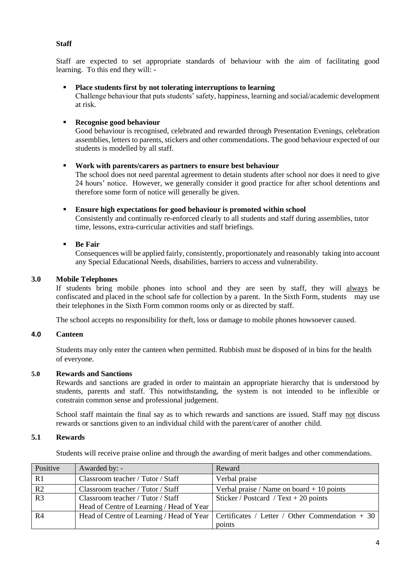# **Staff**

Staff are expected to set appropriate standards of behaviour with the aim of facilitating good learning. To this end they will: -

#### ▪ **Place students first by not tolerating interruptions to learning**

Challenge behaviour that puts students' safety, happiness, learning and social/academic development at risk.

# ▪ **Recognise good behaviour**

Good behaviour is recognised, celebrated and rewarded through Presentation Evenings, celebration assemblies, letters to parents, stickers and other commendations. The good behaviour expected of our students is modelled by all staff.

#### ▪ **Work with parents/carers as partners to ensure best behaviour**

The school does not need parental agreement to detain students after school nor does it need to give 24 hours' notice. However, we generally consider it good practice for after school detentions and therefore some form of notice will generally be given.

#### ▪ **Ensure high expectations for good behaviour is promoted within school**

Consistently and continually re-enforced clearly to all students and staff during assemblies, tutor time, lessons, extra-curricular activities and staff briefings.

#### ▪ **Be Fair**

Consequences will be applied fairly, consistently, proportionately and reasonably taking into account any Special Educational Needs, disabilities, barriers to access and vulnerability.

#### **3.0 Mobile Telephones**

If students bring mobile phones into school and they are seen by staff, they will always be confiscated and placed in the school safe for collection by a parent. In the Sixth Form, students may use their telephones in the Sixth Form common rooms only or as directed by staff.

The school accepts no responsibility for theft, loss or damage to mobile phones howsoever caused.

# **4.0 Canteen**

Students may only enter the canteen when permitted. Rubbish must be disposed of in bins for the health of everyone.

# **5.0 Rewards and Sanctions**

Rewards and sanctions are graded in order to maintain an appropriate hierarchy that is understood by students, parents and staff. This notwithstanding, the system is not intended to be inflexible or constrain common sense and professional judgement.

School staff maintain the final say as to which rewards and sanctions are issued. Staff may not discuss rewards or sanctions given to an individual child with the parent/carer of another child.

# **5.1 Rewards**

Students will receive praise online and through the awarding of merit badges and other commendations.

| Positive       | Awarded by: -                             | Reward                                                                                      |
|----------------|-------------------------------------------|---------------------------------------------------------------------------------------------|
| R1             | Classroom teacher / Tutor / Staff         | Verbal praise                                                                               |
| R2             | Classroom teacher / Tutor / Staff         | Verbal praise / Name on board $+10$ points                                                  |
| R <sub>3</sub> | Classroom teacher / Tutor / Staff         | Sticker / Postcard / Text + 20 points                                                       |
|                | Head of Centre of Learning / Head of Year |                                                                                             |
| R <sub>4</sub> |                                           | Head of Centre of Learning / Head of Year   Certificates / Letter / Other Commendation + 30 |
|                |                                           | points                                                                                      |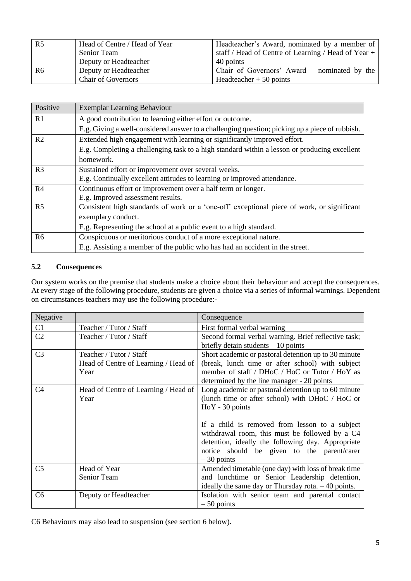| R5 | Head of Centre / Head of Year | Headteacher's Award, nominated by a member of         |
|----|-------------------------------|-------------------------------------------------------|
|    | Senior Team                   | staff / Head of Centre of Learning / Head of Year $+$ |
|    | Deputy or Headteacher         | 40 points                                             |
| R6 | Deputy or Headteacher         | Chair of Governors' Award – nominated by the          |
|    | <b>Chair of Governors</b>     | Headteacher $+50$ points                              |

| Positive       | <b>Exemplar Learning Behaviour</b>                                                             |
|----------------|------------------------------------------------------------------------------------------------|
| R1             | A good contribution to learning either effort or outcome.                                      |
|                | E.g. Giving a well-considered answer to a challenging question; picking up a piece of rubbish. |
| R <sub>2</sub> | Extended high engagement with learning or significantly improved effort.                       |
|                | E.g. Completing a challenging task to a high standard within a lesson or producing excellent   |
|                | homework.                                                                                      |
| R <sub>3</sub> | Sustained effort or improvement over several weeks.                                            |
|                | E.g. Continually excellent attitudes to learning or improved attendance.                       |
| R <sub>4</sub> | Continuous effort or improvement over a half term or longer.                                   |
|                | E.g. Improved assessment results.                                                              |
| R <sub>5</sub> | Consistent high standards of work or a 'one-off' exceptional piece of work, or significant     |
|                | exemplary conduct.                                                                             |
|                | E.g. Representing the school at a public event to a high standard.                             |
| R <sub>6</sub> | Conspicuous or meritorious conduct of a more exceptional nature.                               |
|                | E.g. Assisting a member of the public who has had an accident in the street.                   |

# **5.2 Consequences**

Our system works on the premise that students make a choice about their behaviour and accept the consequences. At every stage of the following procedure, students are given a choice via a series of informal warnings. Dependent on circumstances teachers may use the following procedure:-

| Negative       |                                      | Consequence                                          |
|----------------|--------------------------------------|------------------------------------------------------|
| C1             | Teacher / Tutor / Staff              | First formal verbal warning                          |
| C <sub>2</sub> | Teacher / Tutor / Staff              | Second formal verbal warning. Brief reflective task; |
|                |                                      | briefly detain students $-10$ points                 |
| C <sub>3</sub> | Teacher / Tutor / Staff              | Short academic or pastoral detention up to 30 minute |
|                | Head of Centre of Learning / Head of | (break, lunch time or after school) with subject     |
|                | Year                                 | member of staff / DHoC / HoC or Tutor / HoY as       |
|                |                                      | determined by the line manager - 20 points           |
| C4             | Head of Centre of Learning / Head of | Long academic or pastoral detention up to 60 minute  |
|                | Year                                 | (lunch time or after school) with DHoC / HoC or      |
|                |                                      | HoY - 30 points                                      |
|                |                                      |                                                      |
|                |                                      | If a child is removed from lesson to a subject       |
|                |                                      | withdrawal room, this must be followed by a C4       |
|                |                                      | detention, ideally the following day. Appropriate    |
|                |                                      | notice should be given to the parent/carer           |
|                |                                      | $-30$ points                                         |
| C <sub>5</sub> | Head of Year                         | Amended timetable (one day) with loss of break time  |
|                | Senior Team                          | and lunchtime or Senior Leadership detention,        |
|                |                                      | ideally the same day or Thursday rota. $-40$ points. |
| C <sub>6</sub> | Deputy or Headteacher                | Isolation with senior team and parental contact      |
|                |                                      | $-50$ points                                         |

C6 Behaviours may also lead to suspension (see section 6 below).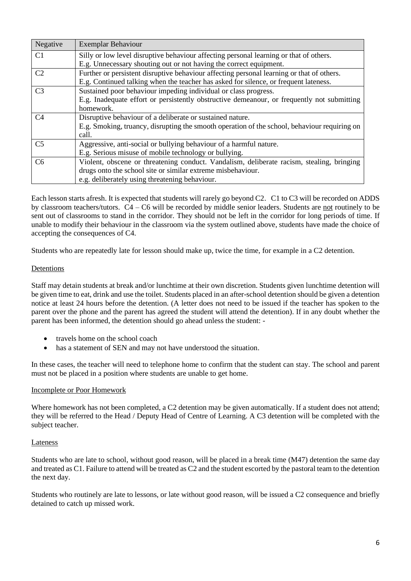| Negative       | Exemplar Behaviour                                                                           |
|----------------|----------------------------------------------------------------------------------------------|
| C1             | Silly or low level disruptive behaviour affecting personal learning or that of others.       |
|                | E.g. Unnecessary shouting out or not having the correct equipment.                           |
| C <sub>2</sub> | Further or persistent disruptive behaviour affecting personal learning or that of others.    |
|                | E.g. Continued talking when the teacher has asked for silence, or frequent lateness.         |
| C <sub>3</sub> | Sustained poor behaviour impeding individual or class progress.                              |
|                | E.g. Inadequate effort or persistently obstructive demeanour, or frequently not submitting   |
|                | homework.                                                                                    |
| C <sub>4</sub> | Disruptive behaviour of a deliberate or sustained nature.                                    |
|                | E.g. Smoking, truancy, disrupting the smooth operation of the school, behaviour requiring on |
|                | call.                                                                                        |
| C <sub>5</sub> | Aggressive, anti-social or bullying behaviour of a harmful nature.                           |
|                | E.g. Serious misuse of mobile technology or bullying.                                        |
| C <sub>6</sub> | Violent, obscene or threatening conduct. Vandalism, deliberate racism, stealing, bringing    |
|                | drugs onto the school site or similar extreme misbehaviour.                                  |
|                | e.g. deliberately using threatening behaviour.                                               |

Each lesson starts afresh. It is expected that students will rarely go beyond C2. C1 to C3 will be recorded on ADDS by classroom teachers/tutors. C4 – C6 will be recorded by middle senior leaders. Students are not routinely to be sent out of classrooms to stand in the corridor. They should not be left in the corridor for long periods of time. If unable to modify their behaviour in the classroom via the system outlined above, students have made the choice of accepting the consequences of C4.

Students who are repeatedly late for lesson should make up, twice the time, for example in a C2 detention.

#### Detentions

Staff may detain students at break and/or lunchtime at their own discretion. Students given lunchtime detention will be given time to eat, drink and use the toilet. Students placed in an after-school detention should be given a detention notice at least 24 hours before the detention. (A letter does not need to be issued if the teacher has spoken to the parent over the phone and the parent has agreed the student will attend the detention). If in any doubt whether the parent has been informed, the detention should go ahead unless the student: -

- travels home on the school coach
- has a statement of SEN and may not have understood the situation.

In these cases, the teacher will need to telephone home to confirm that the student can stay. The school and parent must not be placed in a position where students are unable to get home.

#### Incomplete or Poor Homework

Where homework has not been completed, a C2 detention may be given automatically. If a student does not attend; they will be referred to the Head / Deputy Head of Centre of Learning. A C3 detention will be completed with the subject teacher.

#### Lateness

Students who are late to school, without good reason, will be placed in a break time (M47) detention the same day and treated as C1. Failure to attend will be treated as C2 and the student escorted by the pastoral team to the detention the next day.

Students who routinely are late to lessons, or late without good reason, will be issued a C2 consequence and briefly detained to catch up missed work.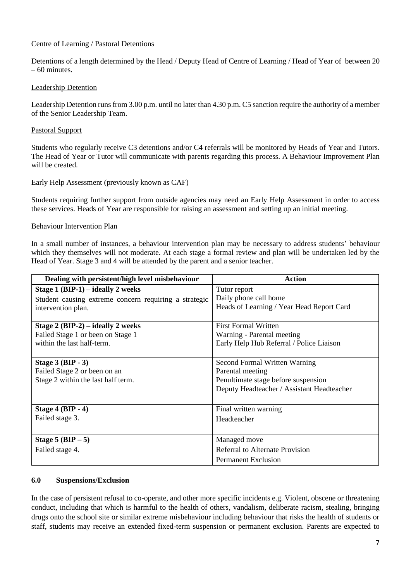# Centre of Learning / Pastoral Detentions

Detentions of a length determined by the Head / Deputy Head of Centre of Learning / Head of Year of between 20 – 60 minutes.

# Leadership Detention

Leadership Detention runs from 3.00 p.m. until no later than 4.30 p.m. C5 sanction require the authority of a member of the Senior Leadership Team.

#### Pastoral Support

Students who regularly receive C3 detentions and/or C4 referrals will be monitored by Heads of Year and Tutors. The Head of Year or Tutor will communicate with parents regarding this process. A Behaviour Improvement Plan will be created.

#### Early Help Assessment (previously known as CAF)

Students requiring further support from outside agencies may need an Early Help Assessment in order to access these services. Heads of Year are responsible for raising an assessment and setting up an initial meeting.

#### Behaviour Intervention Plan

In a small number of instances, a behaviour intervention plan may be necessary to address students' behaviour which they themselves will not moderate. At each stage a formal review and plan will be undertaken led by the Head of Year. Stage 3 and 4 will be attended by the parent and a senior teacher.

| Dealing with persistent/high level misbehaviour       | <b>Action</b>                              |
|-------------------------------------------------------|--------------------------------------------|
| Stage $1(BIP-1)$ – ideally 2 weeks                    | Tutor report                               |
| Student causing extreme concern requiring a strategic | Daily phone call home                      |
| intervention plan.                                    | Heads of Learning / Year Head Report Card  |
|                                                       |                                            |
| Stage $2$ (BIP-2) – ideally 2 weeks                   | <b>First Formal Written</b>                |
| Failed Stage 1 or been on Stage 1                     | Warning - Parental meeting                 |
| within the last half-term.                            | Early Help Hub Referral / Police Liaison   |
|                                                       |                                            |
| Stage $3$ (BIP - 3)                                   | Second Formal Written Warning              |
| Failed Stage 2 or been on an                          | Parental meeting                           |
| Stage 2 within the last half term.                    | Penultimate stage before suspension        |
|                                                       | Deputy Headteacher / Assistant Headteacher |
|                                                       |                                            |
| Stage $4(BIP - 4)$                                    | Final written warning                      |
| Failed stage 3.                                       | Headteacher                                |
|                                                       |                                            |
| Stage $5(BIP - 5)$                                    | Managed move                               |
| Failed stage 4.                                       | <b>Referral to Alternate Provision</b>     |
|                                                       | <b>Permanent Exclusion</b>                 |

#### **6.0 Suspensions/Exclusion**

In the case of persistent refusal to co-operate, and other more specific incidents e.g. Violent, obscene or threatening conduct, including that which is harmful to the health of others, vandalism, deliberate racism, stealing, bringing drugs onto the school site or similar extreme misbehaviour including behaviour that risks the health of students or staff, students may receive an extended fixed-term suspension or permanent exclusion. Parents are expected to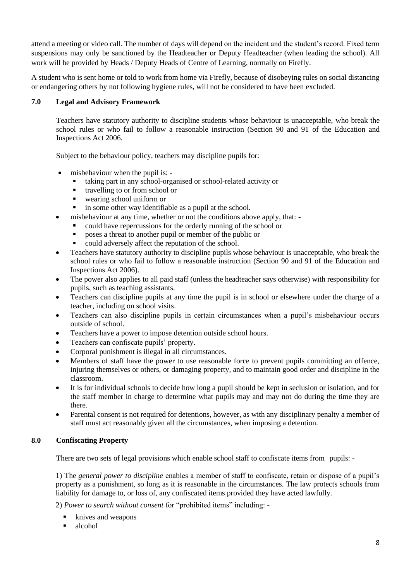attend a meeting or video call. The number of days will depend on the incident and the student's record. Fixed term suspensions may only be sanctioned by the Headteacher or Deputy Headteacher (when leading the school). All work will be provided by Heads / Deputy Heads of Centre of Learning, normally on Firefly.

A student who is sent home or told to work from home via Firefly, because of disobeying rules on social distancing or endangering others by not following hygiene rules, will not be considered to have been excluded.

# **7.0 Legal and Advisory Framework**

Teachers have statutory authority to discipline students whose behaviour is unacceptable, who break the school rules or who fail to follow a reasonable instruction (Section 90 and 91 of the Education and Inspections Act 2006.

Subject to the behaviour policy, teachers may discipline pupils for:

- misbehaviour when the pupil is:
	- taking part in any school-organised or school-related activity or
	- travelling to or from school or
	- wearing school uniform or
	- **•** in some other way identifiable as a pupil at the school.
- misbehaviour at any time, whether or not the conditions above apply, that:
	- could have repercussions for the orderly running of the school or
		- poses a threat to another pupil or member of the public or
		- could adversely affect the reputation of the school.
- Teachers have statutory authority to discipline pupils whose behaviour is unacceptable, who break the school rules or who fail to follow a reasonable instruction (Section 90 and 91 of the Education and Inspections Act 2006).
- The power also applies to all paid staff (unless the headteacher says otherwise) with responsibility for pupils, such as teaching assistants.
- Teachers can discipline pupils at any time the pupil is in school or elsewhere under the charge of a teacher, including on school visits.
- Teachers can also discipline pupils in certain circumstances when a pupil's misbehaviour occurs outside of school.
- Teachers have a power to impose detention outside school hours.
- Teachers can confiscate pupils' property.
- Corporal punishment is illegal in all circumstances.
- Members of staff have the power to use reasonable force to prevent pupils committing an offence, injuring themselves or others, or damaging property, and to maintain good order and discipline in the classroom.
- It is for individual schools to decide how long a pupil should be kept in seclusion or isolation, and for the staff member in charge to determine what pupils may and may not do during the time they are there.
- Parental consent is not required for detentions, however, as with any disciplinary penalty a member of staff must act reasonably given all the circumstances, when imposing a detention.

# **8.0 Confiscating Property**

There are two sets of legal provisions which enable school staff to confiscate items from pupils: -

1) The *general power to discipline* enables a member of staff to confiscate, retain or dispose of a pupil's property as a punishment, so long as it is reasonable in the circumstances. The law protects schools from liability for damage to, or loss of, any confiscated items provided they have acted lawfully.

2) *Power to search without consent* for "prohibited items" including: -

- knives and weapons
- alcohol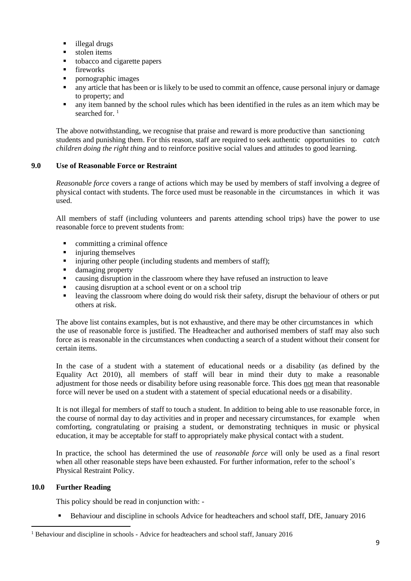- illegal drugs
- $\blacksquare$  stolen items
- tobacco and cigarette papers
- **fireworks**
- pornographic images
- any article that has been or is likely to be used to commit an offence, cause personal injury or damage to property; and
- any item banned by the school rules which has been identified in the rules as an item which may be searched for <sup>1</sup>

The above notwithstanding, we recognise that praise and reward is more productive than sanctioning students and punishing them. For this reason, staff are required to seek authentic opportunities to *catch children doing the right thing* and to reinforce positive social values and attitudes to good learning.

#### **9.0 Use of Reasonable Force or Restraint**

*Reasonable force* covers a range of actions which may be used by members of staff involving a degree of physical contact with students. The force used must be reasonable in the circumstances in which it was used.

All members of staff (including volunteers and parents attending school trips) have the power to use reasonable force to prevent students from:

- committing a criminal offence
- injuring themselves
- **•** injuring other people (including students and members of staff);
- damaging property
- causing disruption in the classroom where they have refused an instruction to leave
- causing disruption at a school event or on a school trip
- **Example 1** leaving the classroom where doing do would risk their safety, disrupt the behaviour of others or put others at risk.

The above list contains examples, but is not exhaustive, and there may be other circumstances in which the use of reasonable force is justified. The Headteacher and authorised members of staff may also such force as is reasonable in the circumstances when conducting a search of a student without their consent for certain items.

In the case of a student with a statement of educational needs or a disability (as defined by the Equality Act 2010), all members of staff will bear in mind their duty to make a reasonable adjustment for those needs or disability before using reasonable force. This does not mean that reasonable force will never be used on a student with a statement of special educational needs or a disability.

It is not illegal for members of staff to touch a student. In addition to being able to use reasonable force, in the course of normal day to day activities and in proper and necessary circumstances, for example when comforting, congratulating or praising a student, or demonstrating techniques in music or physical education, it may be acceptable for staff to appropriately make physical contact with a student.

In practice, the school has determined the use of *reasonable force* will only be used as a final resort when all other reasonable steps have been exhausted. For further information, refer to the school's Physical Restraint Policy.

# **10.0 Further Reading**

This policy should be read in conjunction with: -

Behaviour and discipline in schools Advice for headteachers and school staff, DfE, January 2016

<sup>&</sup>lt;sup>1</sup> Behaviour and discipline in schools - Advice for headteachers and school staff, January 2016